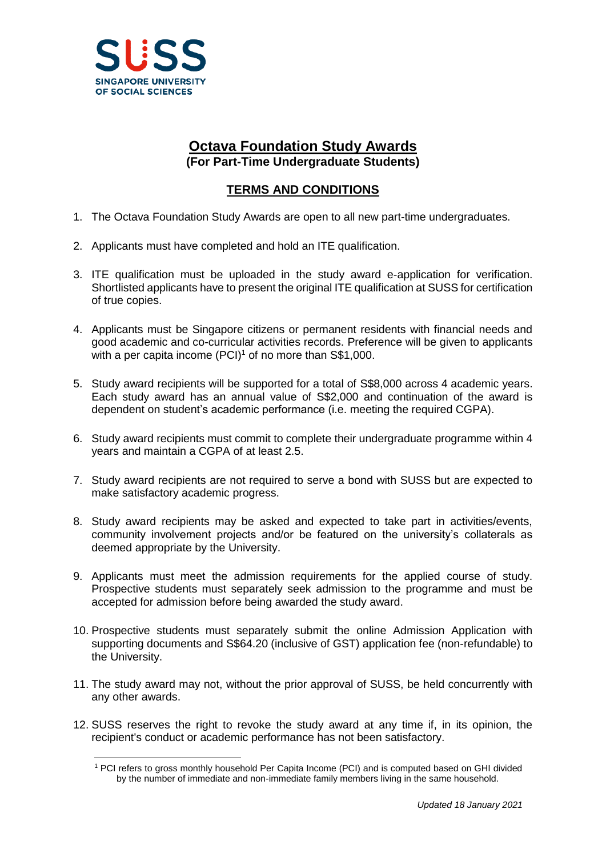

## **Octava Foundation Study Awards (For Part-Time Undergraduate Students)**

## **TERMS AND CONDITIONS**

- 1. The Octava Foundation Study Awards are open to all new part-time undergraduates.
- 2. Applicants must have completed and hold an ITE qualification.
- 3. ITE qualification must be uploaded in the study award e-application for verification. Shortlisted applicants have to present the original ITE qualification at SUSS for certification of true copies.
- 4. Applicants must be Singapore citizens or permanent residents with financial needs and good academic and co-curricular activities records. Preference will be given to applicants with a per capita income  $(PCI)^1$  of no more than S\$1,000.
- 5. Study award recipients will be supported for a total of S\$8,000 across 4 academic years. Each study award has an annual value of S\$2,000 and continuation of the award is dependent on student's academic performance (i.e. meeting the required CGPA).
- 6. Study award recipients must commit to complete their undergraduate programme within 4 years and maintain a CGPA of at least 2.5.
- 7. Study award recipients are not required to serve a bond with SUSS but are expected to make satisfactory academic progress.
- 8. Study award recipients may be asked and expected to take part in activities/events, community involvement projects and/or be featured on the university's collaterals as deemed appropriate by the University.
- 9. Applicants must meet the admission requirements for the applied course of study. Prospective students must separately seek admission to the programme and must be accepted for admission before being awarded the study award.
- 10. Prospective students must separately submit the online Admission Application with supporting documents and S\$64.20 (inclusive of GST) application fee (non-refundable) to the University.
- 11. The study award may not, without the prior approval of SUSS, be held concurrently with any other awards.
- 12. SUSS reserves the right to revoke the study award at any time if, in its opinion, the recipient's conduct or academic performance has not been satisfactory.

 $\overline{a}$ <sup>1</sup> PCI refers to gross monthly household Per Capita Income (PCI) and is computed based on GHI divided by the number of immediate and non-immediate family members living in the same household.